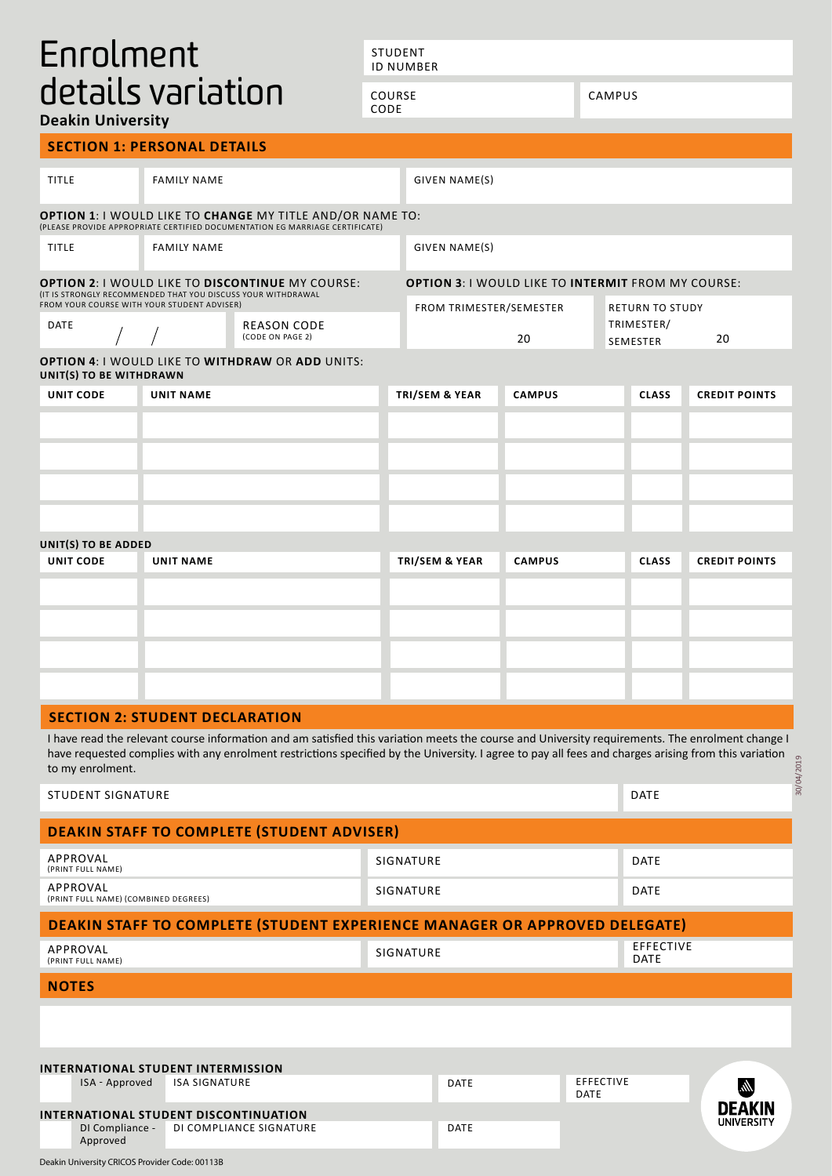# Enrolment details variation

STUDENT ID NUMBER

CAMPUS

COURSE

CODE

**Deakin University**

|                         | <b>SECTION 1: PERSONAL DETAILS</b>                                                                         |                                                                                                                                                                                                                                                                                                          |  |                                                           |               |                                                        |              |                      |
|-------------------------|------------------------------------------------------------------------------------------------------------|----------------------------------------------------------------------------------------------------------------------------------------------------------------------------------------------------------------------------------------------------------------------------------------------------------|--|-----------------------------------------------------------|---------------|--------------------------------------------------------|--------------|----------------------|
| <b>TITLE</b>            | <b>FAMILY NAME</b>                                                                                         |                                                                                                                                                                                                                                                                                                          |  | <b>GIVEN NAME(S)</b>                                      |               |                                                        |              |                      |
|                         |                                                                                                            | <b>OPTION 1</b> : I WOULD LIKE TO <b>CHANGE</b> MY TITLE AND/OR NAME TO:<br>(PLEASE PROVIDE APPROPRIATE CERTIFIED DOCUMENTATION EG MARRIAGE CERTIFICATE)                                                                                                                                                 |  |                                                           |               |                                                        |              |                      |
| <b>TITLE</b>            | <b>FAMILY NAME</b>                                                                                         |                                                                                                                                                                                                                                                                                                          |  | GIVEN NAME(S)                                             |               |                                                        |              |                      |
|                         | IT IS STRONGLY RECOMMENDED THAT YOU DISCUSS YOUR WITHDRAWAL<br>FROM YOUR COURSE WITH YOUR STUDENT ADVISER) | <b>OPTION 2: I WOULD LIKE TO DISCONTINUE MY COURSE:</b>                                                                                                                                                                                                                                                  |  | <b>OPTION 3: I WOULD LIKE TO INTERMIT FROM MY COURSE:</b> |               |                                                        |              |                      |
| DATE                    | <b>REASON CODE</b><br>(CODE ON PAGE 2)                                                                     |                                                                                                                                                                                                                                                                                                          |  | FROM TRIMESTER/SEMESTER<br>20                             |               | <b>RETURN TO STUDY</b><br>TRIMESTER/<br>20<br>SEMESTER |              |                      |
| UNIT(S) TO BE WITHDRAWN |                                                                                                            | <b>OPTION 4: I WOULD LIKE TO WITHDRAW OR ADD UNITS:</b>                                                                                                                                                                                                                                                  |  |                                                           |               |                                                        |              |                      |
| <b>UNIT CODE</b>        | <b>UNIT NAME</b>                                                                                           |                                                                                                                                                                                                                                                                                                          |  | <b>TRI/SEM &amp; YEAR</b>                                 | <b>CAMPUS</b> |                                                        | <b>CLASS</b> | <b>CREDIT POINTS</b> |
|                         |                                                                                                            |                                                                                                                                                                                                                                                                                                          |  |                                                           |               |                                                        |              |                      |
|                         |                                                                                                            |                                                                                                                                                                                                                                                                                                          |  |                                                           |               |                                                        |              |                      |
|                         |                                                                                                            |                                                                                                                                                                                                                                                                                                          |  |                                                           |               |                                                        |              |                      |
|                         |                                                                                                            |                                                                                                                                                                                                                                                                                                          |  |                                                           |               |                                                        |              |                      |
| UNIT(S) TO BE ADDED     |                                                                                                            |                                                                                                                                                                                                                                                                                                          |  |                                                           |               |                                                        |              |                      |
| <b>UNIT CODE</b>        | <b>UNIT NAME</b>                                                                                           |                                                                                                                                                                                                                                                                                                          |  | <b>TRI/SEM &amp; YEAR</b>                                 | <b>CAMPUS</b> |                                                        | <b>CLASS</b> | <b>CREDIT POINTS</b> |
|                         |                                                                                                            |                                                                                                                                                                                                                                                                                                          |  |                                                           |               |                                                        |              |                      |
|                         |                                                                                                            |                                                                                                                                                                                                                                                                                                          |  |                                                           |               |                                                        |              |                      |
|                         |                                                                                                            |                                                                                                                                                                                                                                                                                                          |  |                                                           |               |                                                        |              |                      |
|                         |                                                                                                            |                                                                                                                                                                                                                                                                                                          |  |                                                           |               |                                                        |              |                      |
|                         | <b>SECTION 2: STUDENT DECLARATION</b>                                                                      |                                                                                                                                                                                                                                                                                                          |  |                                                           |               |                                                        |              |                      |
| to my enrolment.        |                                                                                                            | I have read the relevant course information and am satisfied this variation meets the course and University requirements. The enrolment change I<br>have requested complies with any enrolment restrictions specified by the University. I agree to pay all fees and charges arising from this variation |  |                                                           |               |                                                        |              |                      |
| STUDENT SIGNATURE       |                                                                                                            |                                                                                                                                                                                                                                                                                                          |  |                                                           |               |                                                        | <b>DATF</b>  |                      |

| STUDENT SIGNATURE                                                                 | <b>DATE</b> |                                 |
|-----------------------------------------------------------------------------------|-------------|---------------------------------|
| <b>DEAKIN STAFF TO COMPLETE (STUDENT ADVISER)</b>                                 |             |                                 |
| APPROVAL<br>(PRINT FULL NAME)                                                     | SIGNATURE   | DATE                            |
| APPROVAL<br>(PRINT FULL NAME) (COMBINED DEGREES)                                  | SIGNATURE   | <b>DATE</b>                     |
| <b>DEAKIN STAFF TO COMPLETE (STUDENT EXPERIENCE MANAGER OR APPROVED DELEGATE)</b> |             |                                 |
| APPROVAL<br>(PRINT FULL NAME)                                                     | SIGNATURE   | <b>EFFECTIVE</b><br><b>DATE</b> |
| <b>NOTES</b>                                                                      |             |                                 |
|                                                                                   |             |                                 |
|                                                                                   |             |                                 |
| INTERNATIONAL STUDENT INTERMISSION                                                |             |                                 |
| <b>ISA SIGNATURE</b><br>ISA - Approved                                            | DATE        | <b>EFFECTIVE</b><br>؊<br>DATE   |

DATE

**DEAKIN** 

| INTERNATIONAL STUDENT DISCONTINUATION |                         |  |  |  |  |
|---------------------------------------|-------------------------|--|--|--|--|
| DI Compliance -<br>Approved           | DI COMPLIANCE SIGNATURE |  |  |  |  |